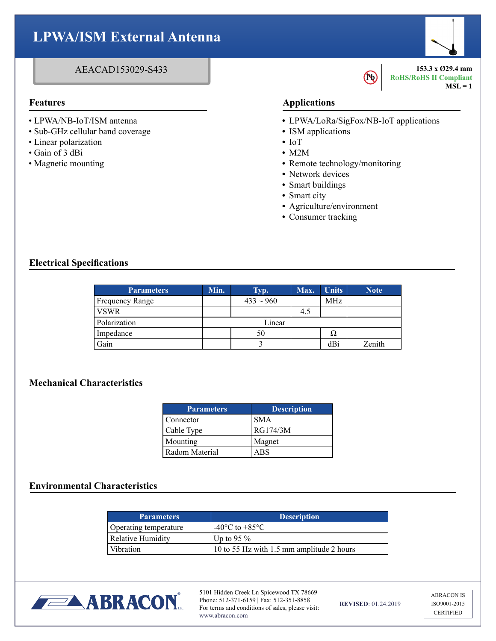## **LPWA/ISM External Antenna**

### AEACAD153029-S433

- LPWA/NB-IoT/ISM antenna
- Sub-GHz cellular band coverage
- Linear polarization
- Gain of 3 dBi
- Magnetic mounting

#### **Features Applications**

**•** LPWA/LoRa/SigFox/NB-IoT applications

**Pb** 

- **•** ISM applications
- **•** IoT
- **•** M2M
- **•** Remote technology/monitoring
- **•** Network devices
- **•** Smart buildings
- **•** Smart city
- **•** Agriculture/environment
- **•** Consumer tracking

#### **Electrical Specifications**

| <b>Parameters</b> | Min.   | Typ.           | Max. | <b>Units</b> | <b>Note</b> |
|-------------------|--------|----------------|------|--------------|-------------|
| Frequency Range   |        | $433 \sim 960$ |      | <b>MHz</b>   |             |
| <b>VSWR</b>       |        |                | 4.5  |              |             |
| Polarization      | Linear |                |      |              |             |
| Impedance         |        | 50             |      | Ω            |             |
| Gain              |        |                |      | dBi          | Zenith      |

#### **Mechanical Characteristics**

| <b>Parameters</b> | <b>Description</b> |
|-------------------|--------------------|
| Connector         | <b>SMA</b>         |
| Cable Type        | RG174/3M           |
| Mounting          | Magnet             |
| l Radom Material  | ABS                |

#### **Environmental Characteristics**

| <b>Parameters</b>     | <b>Description</b>                        |  |  |
|-----------------------|-------------------------------------------|--|--|
| Operating temperature | $-40^{\circ}$ C to $+85^{\circ}$ C        |  |  |
| Relative Humidity     | Up to 95 $\%$                             |  |  |
| Vibration             | 10 to 55 Hz with 1.5 mm amplitude 2 hours |  |  |



5101 Hidden Creek Ln Spicewood TX 78669 Phone: 512-371-6159 | Fax: 512-351-8858 For terms and conditions of sales, please visit: www.abracon.com

**REVISED**: 01.24.2019

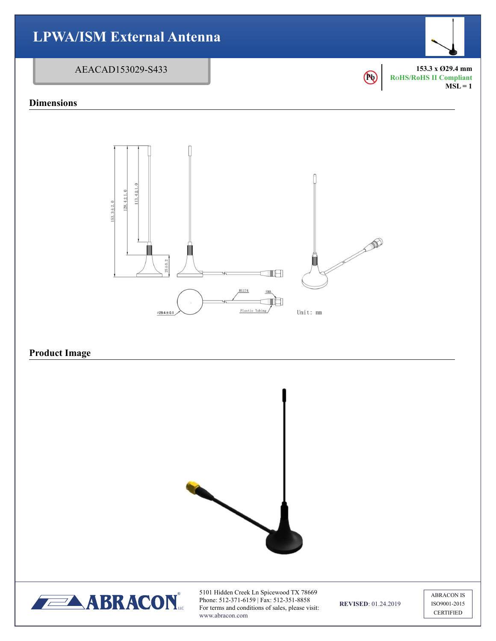

5101 Hidden Creek Ln Spicewood TX 78669 Phone: 512-371-6159 | Fax: 512-351-8858 For terms and conditions of sales, please visit: www.abracon.com

**REVISED**: 01.24.2019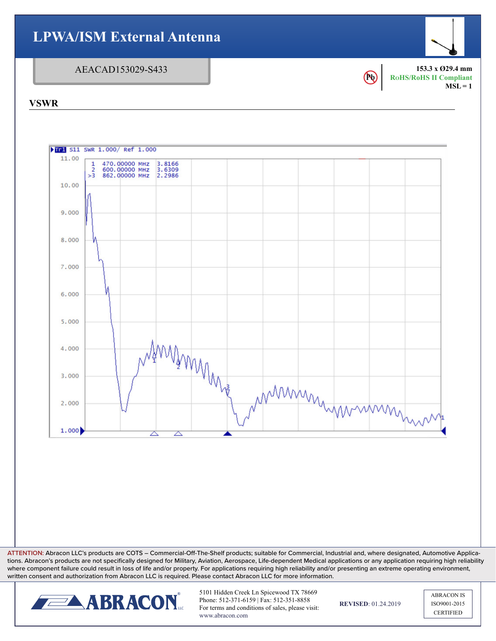

**ATTENTION:** Abracon LLC's products are COTS – Commercial-Off-The-Shelf products; suitable for Commercial, Industrial and, where designated, Automotive Applications. Abracon's products are not specifically designed for Military, Aviation, Aerospace, Life-dependent Medical applications or any application requiring high reliability where component failure could result in loss of life and/or property. For applications requiring high reliability and/or presenting an extreme operating environment, written consent and authorization from Abracon LLC is required. Please contact Abracon LLC for more information.



5101 Hidden Creek Ln Spicewood TX 78669 Phone: 512-371-6159 | Fax: 512-351-8858 For terms and conditions of sales, please visit: www.abracon.com

**REVISED**: 01.24.2019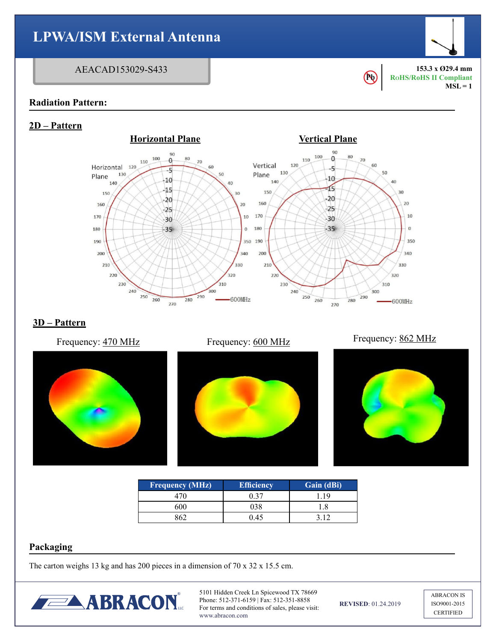

| <b>Frequency (MHz)</b> | <b>Efficiency</b> | Gain (dBi) |
|------------------------|-------------------|------------|
|                        | በ 37              |            |
| 600                    |                   |            |
|                        | 045               |            |

#### **Packaging**

The carton weighs 13 kg and has 200 pieces in a dimension of 70 x 32 x 15.5 cm.



5101 Hidden Creek Ln Spicewood TX 78669 Phone: 512-371-6159 | Fax: 512-351-8858 For terms and conditions of sales, please visit: www.abracon.com

**REVISED**: 01.24.2019